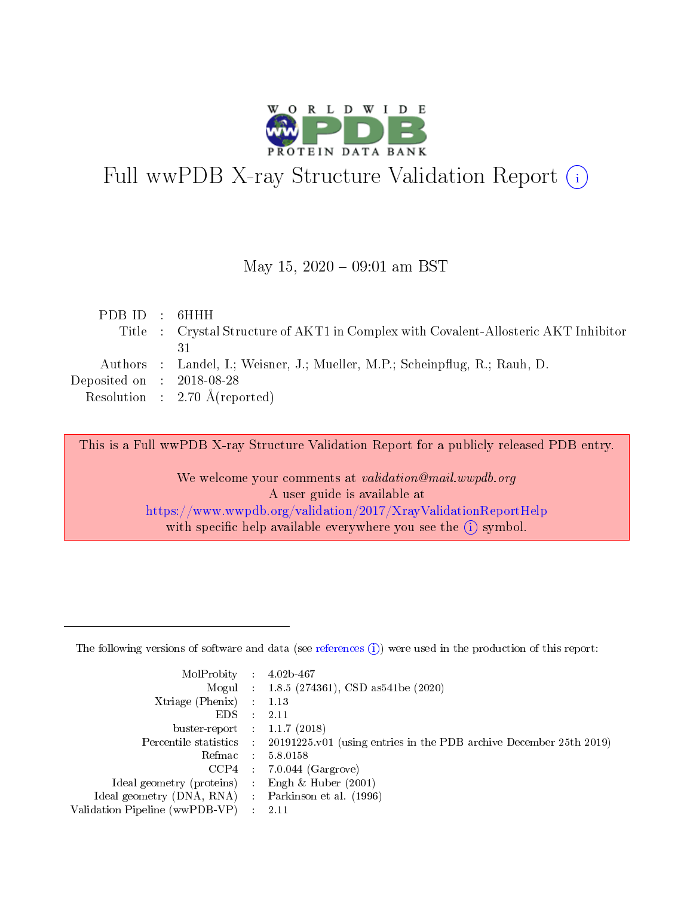

# Full wwPDB X-ray Structure Validation Report (i)

#### May 15,  $2020 - 09:01$  am BST

| PDBID : 6HHH                |                                                                                     |
|-----------------------------|-------------------------------------------------------------------------------------|
|                             | Title : Crystal Structure of AKT1 in Complex with Covalent-Allosteric AKT Inhibitor |
|                             | 31                                                                                  |
|                             | Authors : Landel, I.; Weisner, J.; Mueller, M.P.; Scheinpflug, R.; Rauh, D.         |
| Deposited on : $2018-08-28$ |                                                                                     |
|                             | Resolution : $2.70 \text{ Å}$ (reported)                                            |
|                             |                                                                                     |

This is a Full wwPDB X-ray Structure Validation Report for a publicly released PDB entry.

We welcome your comments at validation@mail.wwpdb.org A user guide is available at <https://www.wwpdb.org/validation/2017/XrayValidationReportHelp> with specific help available everywhere you see the  $(i)$  symbol.

The following versions of software and data (see [references](https://www.wwpdb.org/validation/2017/XrayValidationReportHelp#references)  $(1)$ ) were used in the production of this report:

| MolProbity                     | $\mathcal{L}_{\rm{max}}$ | $4.02b - 467$                                                                |
|--------------------------------|--------------------------|------------------------------------------------------------------------------|
|                                |                          | Mogul : $1.8.5$ (274361), CSD as 541be (2020)                                |
| $X$ triage (Phenix) :          |                          | 1.13                                                                         |
| EDS.                           |                          | 2.11                                                                         |
| buster-report : $1.1.7$ (2018) |                          |                                                                              |
| Percentile statistics :        |                          | $20191225 \text{ v}01$ (using entries in the PDB archive December 25th 2019) |
| Refmac                         |                          | 5.8.0158                                                                     |
| $CCP4$ :                       |                          | $7.0.044$ (Gargrove)                                                         |
| Ideal geometry (proteins) :    |                          | Engh $\&$ Huber (2001)                                                       |
| Ideal geometry (DNA, RNA) :    |                          | Parkinson et al. (1996)                                                      |
| Validation Pipeline (wwPDB-VP) | $\mathcal{L}$            | -2.11                                                                        |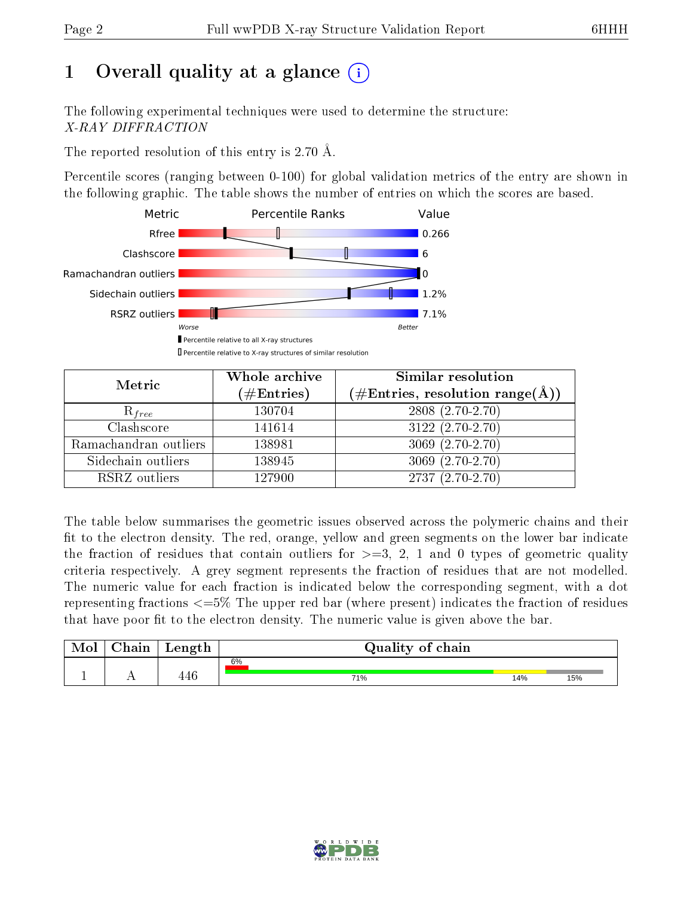## 1 [O](https://www.wwpdb.org/validation/2017/XrayValidationReportHelp#overall_quality)verall quality at a glance  $(i)$

The following experimental techniques were used to determine the structure: X-RAY DIFFRACTION

The reported resolution of this entry is 2.70 Å.

Percentile scores (ranging between 0-100) for global validation metrics of the entry are shown in the following graphic. The table shows the number of entries on which the scores are based.



| Metric                | Whole archive<br>$(\#\mathrm{Entries})$ | Similar resolution<br>$(\#\text{Entries},\,\text{resolution}\,\,\text{range}(\textup{\AA}))$ |  |  |
|-----------------------|-----------------------------------------|----------------------------------------------------------------------------------------------|--|--|
| $R_{free}$            | 130704                                  | 2808 (2.70-2.70)                                                                             |  |  |
| Clashscore            | 141614                                  | $3122(2.70-2.70)$                                                                            |  |  |
| Ramachandran outliers | 138981                                  | $3069(2.70-2.70)$                                                                            |  |  |
| Sidechain outliers    | 138945                                  | 3069 (2.70-2.70)                                                                             |  |  |
| RSRZ outliers         | 127900                                  | $2737(2.70-2.70)$                                                                            |  |  |

The table below summarises the geometric issues observed across the polymeric chains and their fit to the electron density. The red, orange, yellow and green segments on the lower bar indicate the fraction of residues that contain outliers for  $>=3, 2, 1$  and 0 types of geometric quality criteria respectively. A grey segment represents the fraction of residues that are not modelled. The numeric value for each fraction is indicated below the corresponding segment, with a dot representing fractions  $\epsilon=5\%$  The upper red bar (where present) indicates the fraction of residues that have poor fit to the electron density. The numeric value is given above the bar.

| Mol | $\cap$ hain | Length                        | Quality of chain |     |     |
|-----|-------------|-------------------------------|------------------|-----|-----|
|     |             |                               | 6%               |     |     |
|     |             | $\overline{A}$ $\overline{C}$ | 71%              | 14% | 15% |

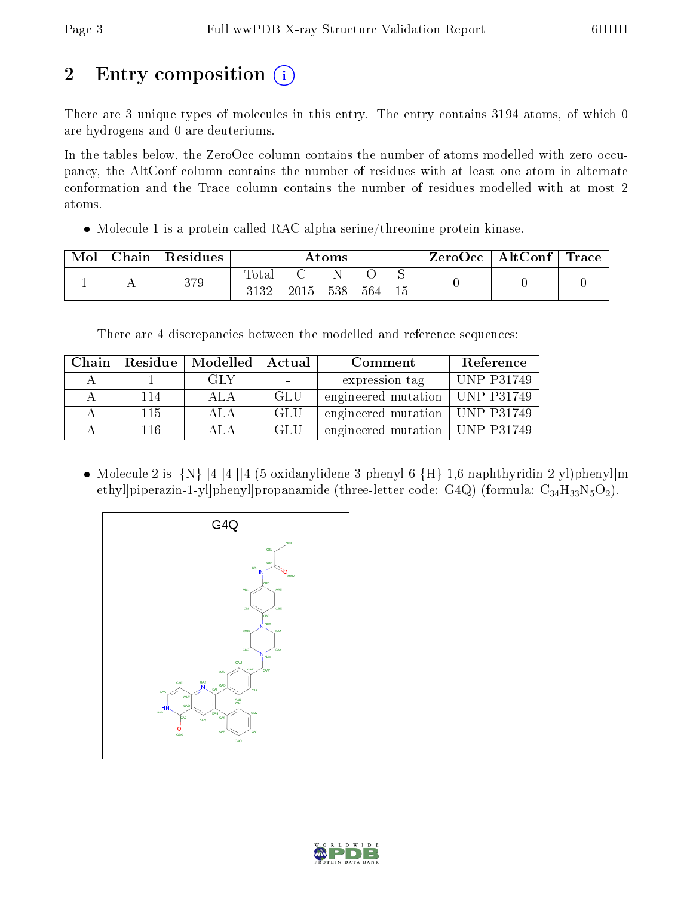# 2 Entry composition  $\left( \cdot \right)$

There are 3 unique types of molecules in this entry. The entry contains 3194 atoms, of which 0 are hydrogens and 0 are deuteriums.

In the tables below, the ZeroOcc column contains the number of atoms modelled with zero occupancy, the AltConf column contains the number of residues with at least one atom in alternate conformation and the Trace column contains the number of residues modelled with at most 2 atoms.

Molecule 1 is a protein called RAC-alpha serine/threonine-protein kinase.

| Mol | Chain Residues | Atoms               |          |  |     | $\mid$ ZeroOcc $\mid$ AltConf $\mid$ Trace |  |  |
|-----|----------------|---------------------|----------|--|-----|--------------------------------------------|--|--|
|     | 379            | $\rm Total$<br>3132 | 2015 538 |  | 564 |                                            |  |  |

There are 4 discrepancies between the modelled and reference sequences:

| Chain |     | Residue   Modelled   Actual |     | Comment                          | Reference  |
|-------|-----|-----------------------------|-----|----------------------------------|------------|
|       |     | GLY                         |     | expression tag                   | UNP P31749 |
|       | 114 | ALA                         | GLU | engineered mutation   UNP P31749 |            |
|       | 115 | ALA                         | GLU | engineered mutation   UNP P31749 |            |
|       | 116 |                             | GLU | engineered mutation   UNP P31749 |            |

• Molecule 2 is  ${N} - [4-[4-(5-oxidanylinder-3-phenyl-6 ${H} - 1,6-naphthyridin-2-y]$ ) phenyl$ ethyl]piperazin-1-yl]phenyl]propanamide (three-letter code: G4Q) (formula:  $C_{34}H_{33}N_{5}O_{2}$ ).



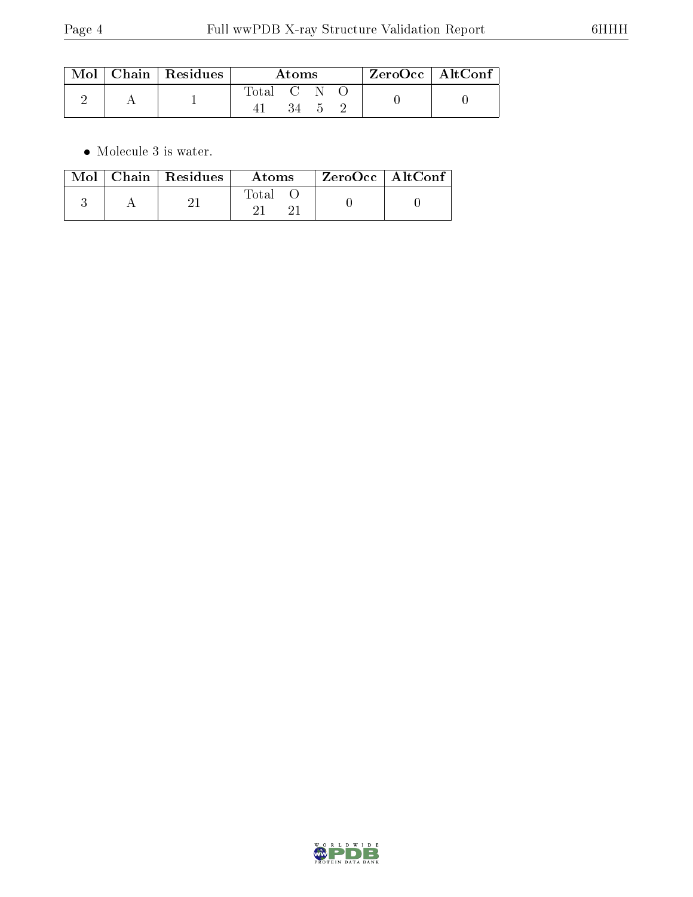|  | $\blacksquare$ Mol $\parallel$ Chain $\parallel$ Residues | Atoms     |    |  | $ZeroOcc \mid AltConf$ |  |
|--|-----------------------------------------------------------|-----------|----|--|------------------------|--|
|  |                                                           | Total C N | 34 |  |                        |  |

 $\bullet\,$  Molecule 3 is water.

|  | Mol $\vert$ Chain $\vert$ Residues $\vert$ | Atoms | $\rm ZeroOcc$   Alt $\rm Conf$ |  |
|--|--------------------------------------------|-------|--------------------------------|--|
|  |                                            | Total |                                |  |

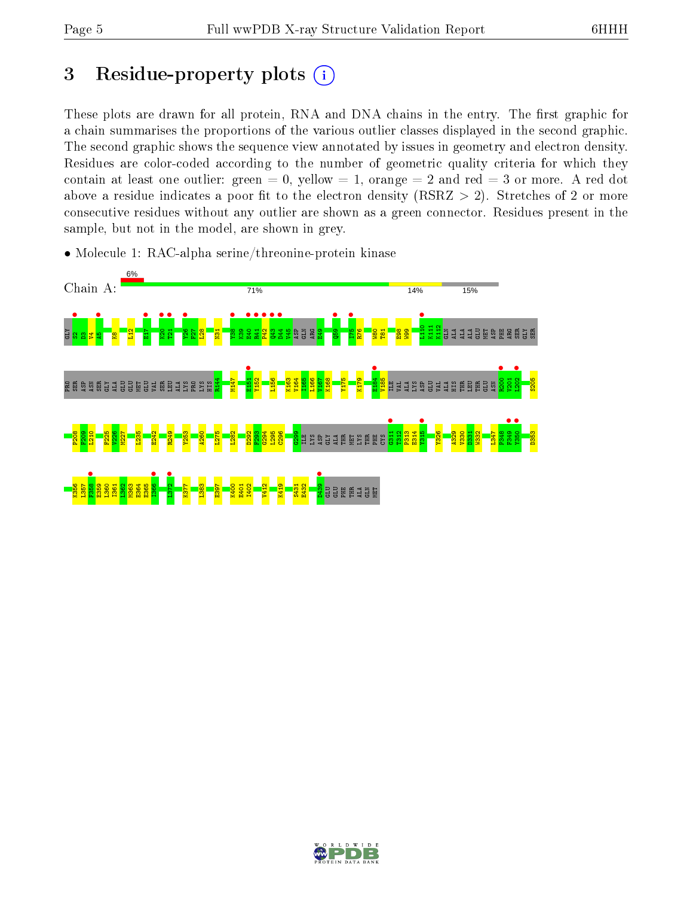## 3 Residue-property plots  $(i)$

These plots are drawn for all protein, RNA and DNA chains in the entry. The first graphic for a chain summarises the proportions of the various outlier classes displayed in the second graphic. The second graphic shows the sequence view annotated by issues in geometry and electron density. Residues are color-coded according to the number of geometric quality criteria for which they contain at least one outlier: green  $= 0$ , yellow  $= 1$ , orange  $= 2$  and red  $= 3$  or more. A red dot above a residue indicates a poor fit to the electron density (RSRZ  $> 2$ ). Stretches of 2 or more consecutive residues without any outlier are shown as a green connector. Residues present in the sample, but not in the model, are shown in grey.



• Molecule 1: RAC-alpha serine/threonine-protein kinase

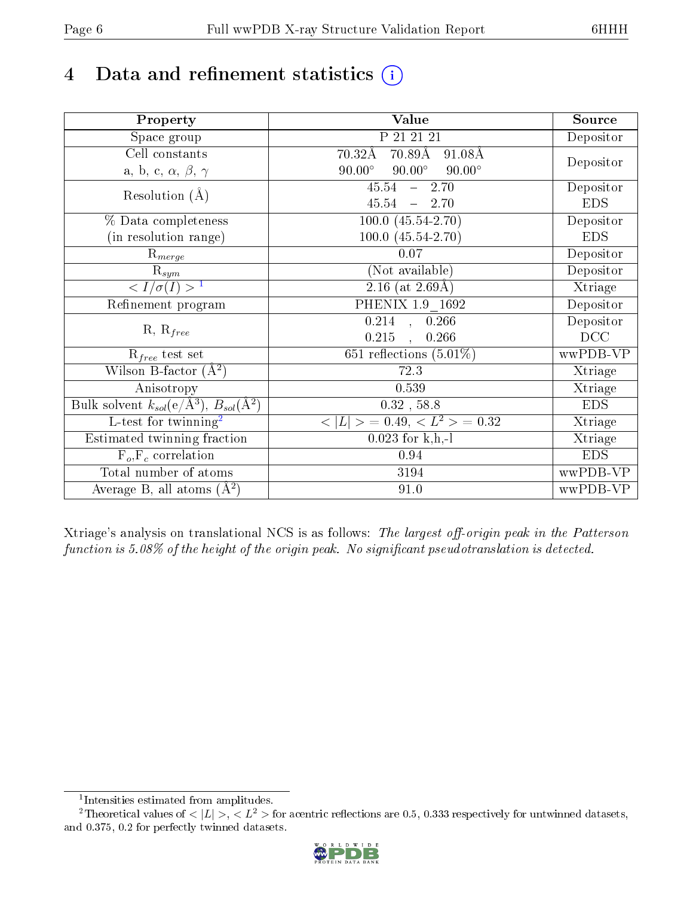# 4 Data and refinement statistics  $(i)$

| Property                                                   | <b>Value</b>                                     | Source     |
|------------------------------------------------------------|--------------------------------------------------|------------|
| Space group                                                | P 21 21 21                                       | Depositor  |
| Cell constants                                             | $70.89\text{\AA}$<br>$70.32\text{\AA}$<br>91.08Å |            |
| a, b, c, $\alpha$ , $\beta$ , $\gamma$                     | $90.00^\circ$<br>$90.00^\circ$<br>$90.00^\circ$  | Depositor  |
| Resolution $(A)$                                           | $45.54 - 2.70$                                   | Depositor  |
|                                                            | $45.54 - 2.70$                                   | <b>EDS</b> |
| % Data completeness                                        | $100.0 (45.54 - 2.70)$                           | Depositor  |
| (in resolution range)                                      | $100.0 (45.54 - 2.70)$                           | <b>EDS</b> |
| $R_{merge}$                                                | 0.07                                             | Depositor  |
| $\mathrm{R}_{sym}$                                         | (Not available)                                  | Depositor  |
| $\langle I/\sigma(I) \rangle^{-1}$                         | 2.16 (at $2.69\text{\AA})$                       | Xtriage    |
| Refinement program                                         | PHENIX 1.9 1692                                  | Depositor  |
|                                                            | $\overline{0.214}$ ,<br>0.266                    | Depositor  |
| $R, R_{free}$                                              | 0.215<br>0.266<br>$\ddot{\phantom{a}}$           | DCC        |
| $R_{free}$ test set                                        | 651 reflections $(5.01\%)$                       | wwPDB-VP   |
| Wilson B-factor $(A^2)$                                    | 72.3                                             | Xtriage    |
| Anisotropy                                                 | 0.539                                            | Xtriage    |
| Bulk solvent $k_{sol}$ (e/Å <sup>3</sup> ), $B_{sol}(A^2)$ | $0.32$ , $58.8\,$                                | <b>EDS</b> |
| $\overline{L}$ -test for twinning <sup>2</sup>             | $< L >$ = 0.49, $< L2$ = 0.32                    | Xtriage    |
| Estimated twinning fraction                                | $0.023$ for k,h,-l                               | Xtriage    |
| $F_o, F_c$ correlation                                     | 0.94                                             | <b>EDS</b> |
| Total number of atoms                                      | 3194                                             | wwPDB-VP   |
| Average B, all atoms $(A^2)$                               | 91.0                                             | wwPDB-VP   |

Xtriage's analysis on translational NCS is as follows: The largest off-origin peak in the Patterson function is  $5.08\%$  of the height of the origin peak. No significant pseudotranslation is detected.

<sup>&</sup>lt;sup>2</sup>Theoretical values of  $\langle |L| \rangle$ ,  $\langle L^2 \rangle$  for acentric reflections are 0.5, 0.333 respectively for untwinned datasets, and 0.375, 0.2 for perfectly twinned datasets.



<span id="page-5-1"></span><span id="page-5-0"></span><sup>1</sup> Intensities estimated from amplitudes.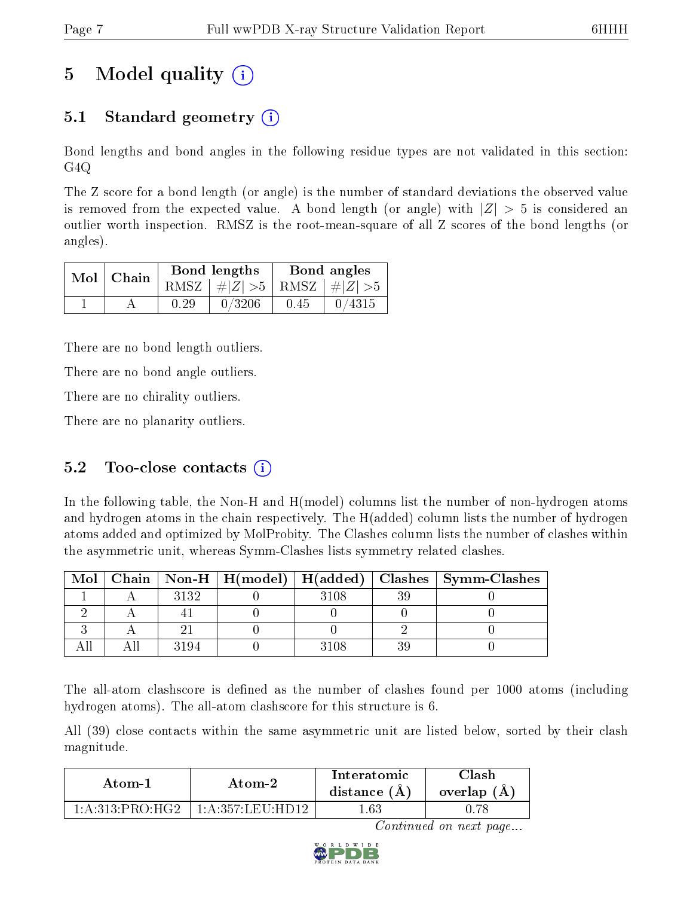## 5 Model quality  $(i)$

### 5.1 Standard geometry (i)

Bond lengths and bond angles in the following residue types are not validated in this section: G4Q

The Z score for a bond length (or angle) is the number of standard deviations the observed value is removed from the expected value. A bond length (or angle) with  $|Z| > 5$  is considered an outlier worth inspection. RMSZ is the root-mean-square of all Z scores of the bond lengths (or angles).

| $Mol$   Chain |      | Bond lengths                    | Bond angles |        |  |
|---------------|------|---------------------------------|-------------|--------|--|
|               |      | RMSZ $ #Z  > 5$ RMSZ $ #Z  > 5$ |             |        |  |
|               | 0.29 | 0/3206                          | 0.45        | 0/4315 |  |

There are no bond length outliers.

There are no bond angle outliers.

There are no chirality outliers.

There are no planarity outliers.

#### 5.2 Too-close contacts  $(i)$

In the following table, the Non-H and H(model) columns list the number of non-hydrogen atoms and hydrogen atoms in the chain respectively. The H(added) column lists the number of hydrogen atoms added and optimized by MolProbity. The Clashes column lists the number of clashes within the asymmetric unit, whereas Symm-Clashes lists symmetry related clashes.

| Mol |      |      |    | Chain   Non-H   H(model)   H(added)   Clashes   Symm-Clashes |
|-----|------|------|----|--------------------------------------------------------------|
|     | 3132 | 3108 | 2C |                                                              |
|     |      |      |    |                                                              |
|     |      |      |    |                                                              |
|     | 194  | 2108 |    |                                                              |

The all-atom clashscore is defined as the number of clashes found per 1000 atoms (including hydrogen atoms). The all-atom clashscore for this structure is 6.

All (39) close contacts within the same asymmetric unit are listed below, sorted by their clash magnitude.

| Atom-1            | Atom-2           | Interatomic<br>distance $(A)$ | <b>Clash</b><br>overlap $(A)$ |
|-------------------|------------------|-------------------------------|-------------------------------|
| 1: A:313: PRO·HG2 | 1 A 357 LEU HD12 | .63                           |                               |

Continued on next page...

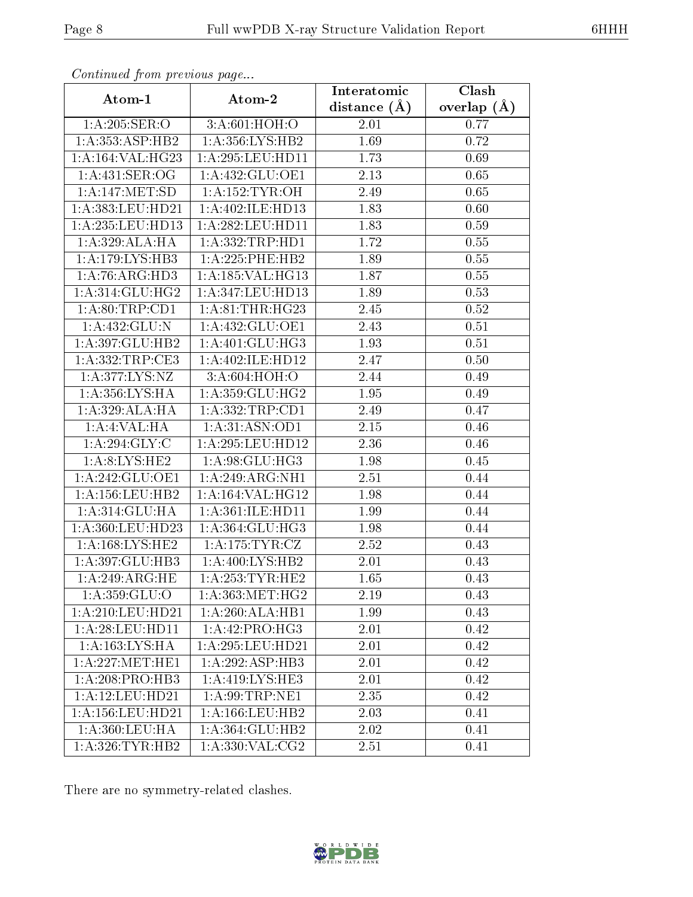| Contribution provided pugues. |                                | Interatomic       | $\overline{\text{Clash}}$ |
|-------------------------------|--------------------------------|-------------------|---------------------------|
| Atom-1                        | Atom-2                         | distance $(A)$    | overlap $(A)$             |
| 1: A:205: SER:O               | 3:A:601:HOH:O                  | 2.01              | 0.77                      |
| 1:A:353:ASP:HB2               | 1:A:356:LYS:HB2                | 1.69              | 0.72                      |
| 1:A:164:VAL:HG23              | 1:A:295:LEU:HD11               | 1.73              | 0.69                      |
| 1: A: 431: SER: OG            | 1:A:432:GLU:OE1                | 2.13              | 0.65                      |
| 1:A:147:MET:SD                | 1:A:152:TYR:OH                 | 2.49              | 0.65                      |
| 1:A:383:LEU:HD21              | 1:A:402:ILE:HD13               | 1.83              | 0.60                      |
| 1:A:235:LEU:HD13              | 1:A:282:LEU:HD11               | $\overline{1.83}$ | 0.59                      |
| 1:A:329:ALA:HA                | 1: A: 332: TRP: HD1            | 1.72              | 0.55                      |
| 1:A:179:LYS:HB3               | 1:A:225:PHE:HB2                | 1.89              | 0.55                      |
| 1: A:76: ARG:HD3              | 1: A: 185: VAL: HG13           | 1.87              | 0.55                      |
| 1:A:314:GLU:HG2               | 1:A:347:LEU:HD13               | 1.89              | 0.53                      |
| 1: A:80:TRP:CD1               | 1: A:81:THR:HG23               | 2.45              | 0.52                      |
| 1:A:432:GLU:N                 | 1:A:432:GLU:OE1                | 2.43              | 0.51                      |
| 1:A:397:GLU:HB2               | 1:A:401:GLU:HG3                | 1.93              | 0.51                      |
| 1: A: 332: TRP: CE3           | 1: A:402: ILE: HD12            | 2.47              | 0.50                      |
| 1: A:377: LYS: NZ             | 3: A:604: HOH:O                | 2.44              | 0.49                      |
| 1: A: 356: LYS: HA            | 1: A:359: GLU:HG2              | 1.95              | 0.49                      |
| 1:A:329:ALA:HA                | 1:A:332:TRP:CD1                | 2.49              | 0.47                      |
| 1:A:4:VAL:HA                  | 1: A:31: ASN:OD1               | 2.15              | 0.46                      |
| 1: A:294: GLY: C              | 1:A:295:LEU:HD12               | 2.36              | 0.46                      |
| 1: A:8: LYS: HE2              | 1:A:98:GLU:HG3                 | 1.98              | 0.45                      |
| 1:A:242:GLU:OE1               | 1:A:249:ARG:NH1                | 2.51              | 0.44                      |
| 1: A: 156: LEU: HB2           | 1: A:164: VAL:HG12             | 1.98              | 0.44                      |
| 1:A:314:GLU:HA                | 1:A:361:ILE:HD11               | 1.99              | 0.44                      |
| 1:A:360:LEU:HD23              | 1:A:364:GLU:HG3                | 1.98              | 0.44                      |
| 1: A:168: LYS: HE2            | 1:A:175:TYR:CZ                 | 2.52              | 0.43                      |
| 1:A:397:GLU:HB3               | 1:A:400:LYS:HB2                | 2.01              | 0.43                      |
| 1:A:249:ARG:HE                | 1:A:253:TYR:HE2                | 1.65              | 0.43                      |
| 1:A:359:GLU:O                 | 1: A: 363:MET:HG2              | 2.19              | 0.43                      |
| 1:A:210:LEU:HD21              | 1:A:260:ALA:HB1                | 1.99              | 0.43                      |
| 1:A:28:LEU:HDI1               | 1:A:42:PRO:HG3                 | 2.01              | 0.42                      |
| 1: A: 163: LYS: HA            | 1:A:295:LEU:HD21               | 2.01              | 0.42                      |
| 1: A:227: MET:HE1             | 1:A:292:ASP:HB3                | 2.01              | 0.42                      |
| 1:A:208:PRO:HB3               | 1: A: 419: LYS: HE3            | 2.01              | 0.42                      |
| 1:A:12:LEU:HD21               | 1: A:99:TRP:NE1                | 2.35              | 0.42                      |
| 1:A:156:LEU:HD21              | 1: A:166:LEU:HB2               | 2.03              | 0.41                      |
| 1: A:360:LEU:HA               | 1:A:364:GLU:HB2                | 2.02              | 0.41                      |
| 1: A:326:TYR:HB2              | 1: A:330: VAL: C <sub>G2</sub> | 2.51              | 0.41                      |

Continued from previous page.

There are no symmetry-related clashes.

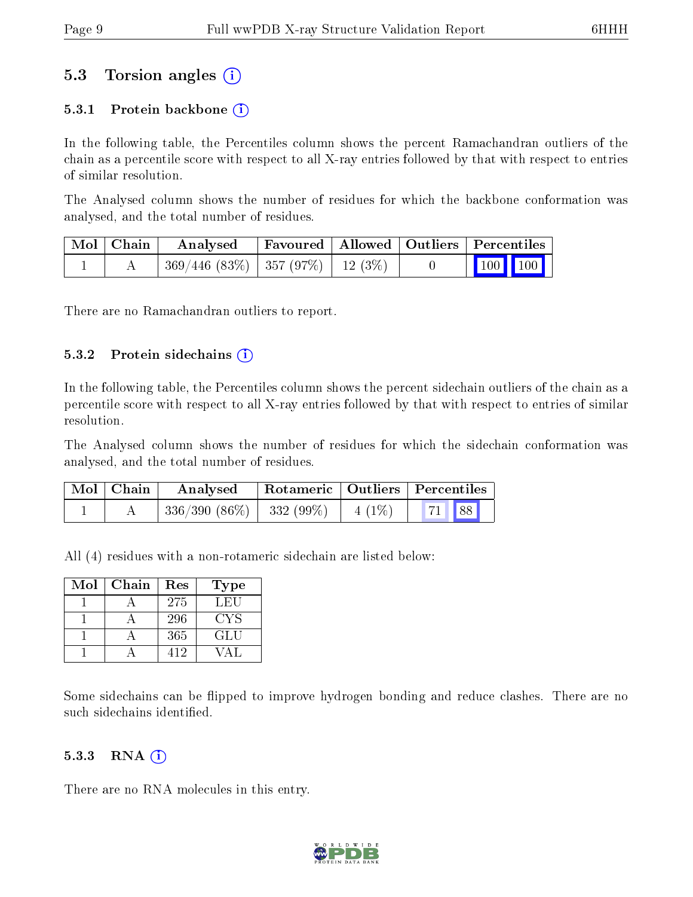#### 5.3 Torsion angles (i)

#### 5.3.1 Protein backbone  $(i)$

In the following table, the Percentiles column shows the percent Ramachandran outliers of the chain as a percentile score with respect to all X-ray entries followed by that with respect to entries of similar resolution.

The Analysed column shows the number of residues for which the backbone conformation was analysed, and the total number of residues.

| Mol   Chain | Analysed                                 |  | Favoured   Allowed   Outliers   Percentiles                |  |
|-------------|------------------------------------------|--|------------------------------------------------------------|--|
|             | $369/446$ (83\%)   357 (97\%)   12 (3\%) |  | $\begin{array}{ c c c c }\n\hline\n100 & 100\n\end{array}$ |  |

There are no Ramachandran outliers to report.

#### $5.3.2$  Protein sidechains  $(i)$

In the following table, the Percentiles column shows the percent sidechain outliers of the chain as a percentile score with respect to all X-ray entries followed by that with respect to entries of similar resolution.

The Analysed column shows the number of residues for which the sidechain conformation was analysed, and the total number of residues.

| $\mid$ Mol $\mid$ Chain | Analysed                                         |  | Rotameric   Outliers   Percentiles |  |  |
|-------------------------|--------------------------------------------------|--|------------------------------------|--|--|
|                         | $\frac{1}{2}$ 336/390 (86%)   332 (99%)   4 (1%) |  | 71 88                              |  |  |

All (4) residues with a non-rotameric sidechain are listed below:

| Mol | Chain | Res | <b>Type</b> |
|-----|-------|-----|-------------|
|     |       | 275 | LEU         |
|     |       | 296 | CYS         |
|     |       | 365 | GLU         |
|     |       | 412 |             |

Some sidechains can be flipped to improve hydrogen bonding and reduce clashes. There are no such sidechains identified.

#### 5.3.3 RNA  $(i)$

There are no RNA molecules in this entry.

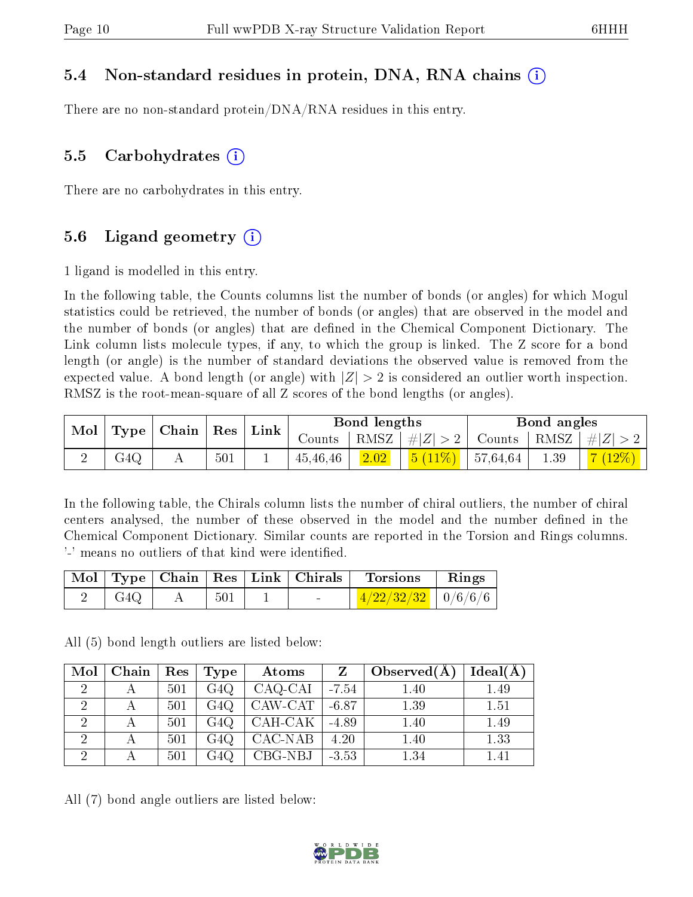#### 5.4 Non-standard residues in protein, DNA, RNA chains (i)

There are no non-standard protein/DNA/RNA residues in this entry.

#### 5.5 Carbohydrates  $(i)$

There are no carbohydrates in this entry.

#### 5.6 Ligand geometry  $(i)$

1 ligand is modelled in this entry.

In the following table, the Counts columns list the number of bonds (or angles) for which Mogul statistics could be retrieved, the number of bonds (or angles) that are observed in the model and the number of bonds (or angles) that are dened in the Chemical Component Dictionary. The Link column lists molecule types, if any, to which the group is linked. The Z score for a bond length (or angle) is the number of standard deviations the observed value is removed from the expected value. A bond length (or angle) with  $|Z| > 2$  is considered an outlier worth inspection. RMSZ is the root-mean-square of all Z scores of the bond lengths (or angles).

| $\mid$ Mol $\mid$ |                  | $\mid$ Type $\mid$ Chain $\mid$ Res $\mid$ Link |     |          | Bond lengths |                                           | Bond angles |                                                                   |
|-------------------|------------------|-------------------------------------------------|-----|----------|--------------|-------------------------------------------|-------------|-------------------------------------------------------------------|
|                   |                  |                                                 |     |          |              |                                           |             | Counts   RMSZ $\mid \#  Z  > 2$   Counts   RMSZ $\mid \#  Z  > 2$ |
|                   | G <sub>4</sub> Q |                                                 | 501 | 45,46,46 | 2.02         | $\vert$ 5 (11\%) $\vert$ 57,64,64 $\vert$ | 1.39        | 7(12%)                                                            |

In the following table, the Chirals column lists the number of chiral outliers, the number of chiral centers analysed, the number of these observed in the model and the number defined in the Chemical Component Dictionary. Similar counts are reported in the Torsion and Rings columns. '-' means no outliers of that kind were identified.

|     |     |                                  | Mol   Type   Chain   Res   Link   Chirals   Torsions | Rings |
|-----|-----|----------------------------------|------------------------------------------------------|-------|
| G4Q | 501 | <b><i><u>Participate</u></i></b> | $\frac{4/22/32/32}{10/6/6/6}$                        |       |

All (5) bond length outliers are listed below:

| $\text{Mol}$   | $\mid$ Chain $\mid$ | $\mid$ Res | Type             | Atoms            |         | Observed $(A)$ | Ideal(A) |
|----------------|---------------------|------------|------------------|------------------|---------|----------------|----------|
| 2              |                     | 501        | G4Q              | CAQ-CAI          | $-7.54$ | 1.40           | 1.49     |
| $\overline{2}$ |                     | 501        | G <sub>4</sub> Q | $+$ CAW-CAT $^+$ | $-6.87$ | 1.39           | 1.51     |
|                |                     | 501        | G4Q              | CAH-CAK          | $-4.89$ | 1.40           | 1.49     |
|                |                     | 501        | G4Q              | CAC-NAB          | 4.20    | 1.40           | 1.33     |
|                |                     | 501        | G4Q              | CBG-NBJ          | $-3.53$ | 1.34           | 1.41     |

All (7) bond angle outliers are listed below:

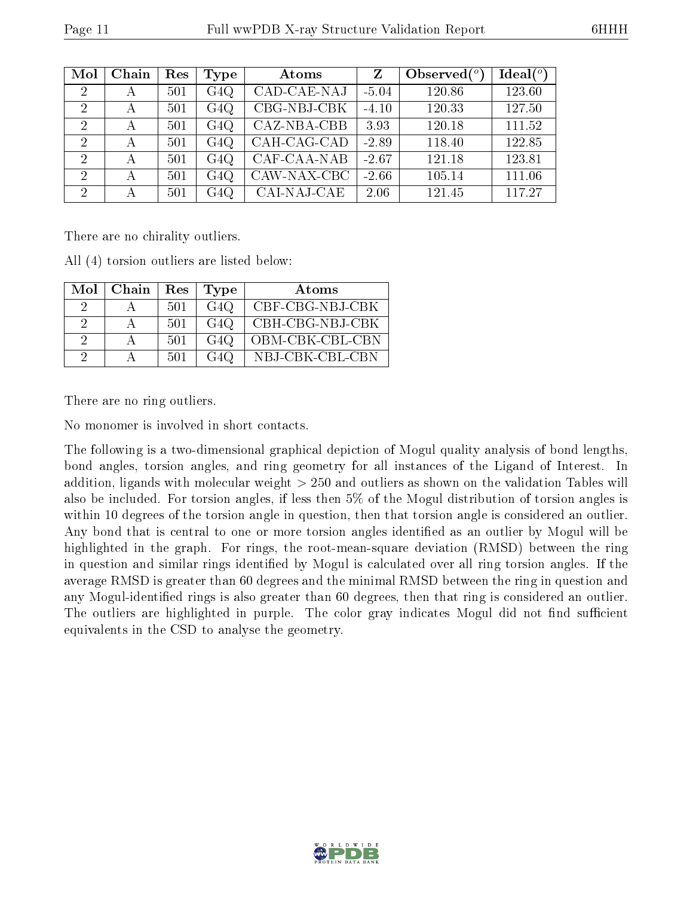| Mol            | Chain | Res | Type             | Atoms       | Z       | Observed $(°)$ | Ideal(°) |
|----------------|-------|-----|------------------|-------------|---------|----------------|----------|
| 2              | А     | 501 | G4Q              | CAD-CAE-NAJ | $-5.04$ | 120.86         | 123.60   |
| 2              | А     | 501 | G4Q              | CBG-NBJ-CBK | $-4.10$ | 120.33         | 127.50   |
| 2              | А     | 501 | G4Q              | CAZ-NBA-CBB | 3.93    | 120.18         | 111.52   |
| 2              | А     | 501 | G <sub>4</sub> Q | CAH-CAG-CAD | $-2.89$ | 118.40         | 122.85   |
| $\overline{2}$ | А     | 501 | G4Q              | CAF-CAA-NAB | $-2.67$ | 121.18         | 123.81   |
| $\mathcal{D}$  | А     | 501 | G4Q              | CAW-NAX-CBC | $-2.66$ | 105.14         | 111.06   |
| $\overline{2}$ | А     | 501 | G4Q              | CAI-NAJ-CAE | 2.06    | 121.45         | 117.27   |

There are no chirality outliers.

All (4) torsion outliers are listed below:

|     | $Mol$   Chain | Res  | Type | Atoms           |
|-----|---------------|------|------|-----------------|
| 2   |               | 501  | G4Q  | CBF-CBG-NBJ-CBK |
| 9   |               | 501  | G4Q  | CBH-CBG-NBJ-CBK |
|     |               | -501 | G4Q  | OBM-CBK-CBL-CBN |
| - 1 |               | 501  | G4Q  | NBJ-CBK-CBL-CBN |

There are no ring outliers.

No monomer is involved in short contacts.

The following is a two-dimensional graphical depiction of Mogul quality analysis of bond lengths, bond angles, torsion angles, and ring geometry for all instances of the Ligand of Interest. In addition, ligands with molecular weight > 250 and outliers as shown on the validation Tables will also be included. For torsion angles, if less then 5% of the Mogul distribution of torsion angles is within 10 degrees of the torsion angle in question, then that torsion angle is considered an outlier. Any bond that is central to one or more torsion angles identified as an outlier by Mogul will be highlighted in the graph. For rings, the root-mean-square deviation (RMSD) between the ring in question and similar rings identified by Mogul is calculated over all ring torsion angles. If the average RMSD is greater than 60 degrees and the minimal RMSD between the ring in question and any Mogul-identified rings is also greater than 60 degrees, then that ring is considered an outlier. The outliers are highlighted in purple. The color gray indicates Mogul did not find sufficient equivalents in the CSD to analyse the geometry.

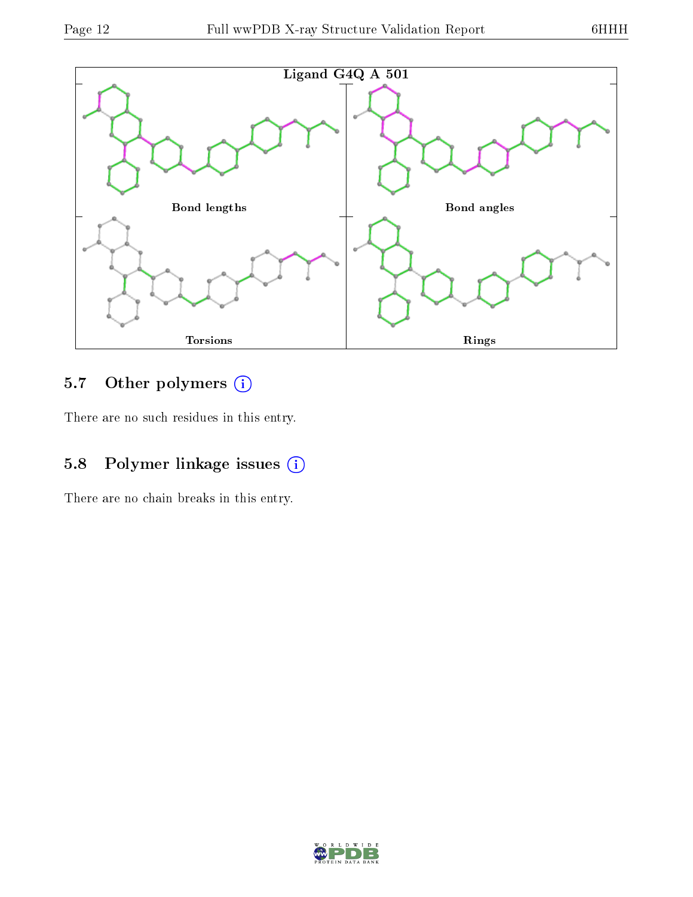

### 5.7 [O](https://www.wwpdb.org/validation/2017/XrayValidationReportHelp#nonstandard_residues_and_ligands)ther polymers (i)

There are no such residues in this entry.

### 5.8 Polymer linkage issues (i)

There are no chain breaks in this entry.

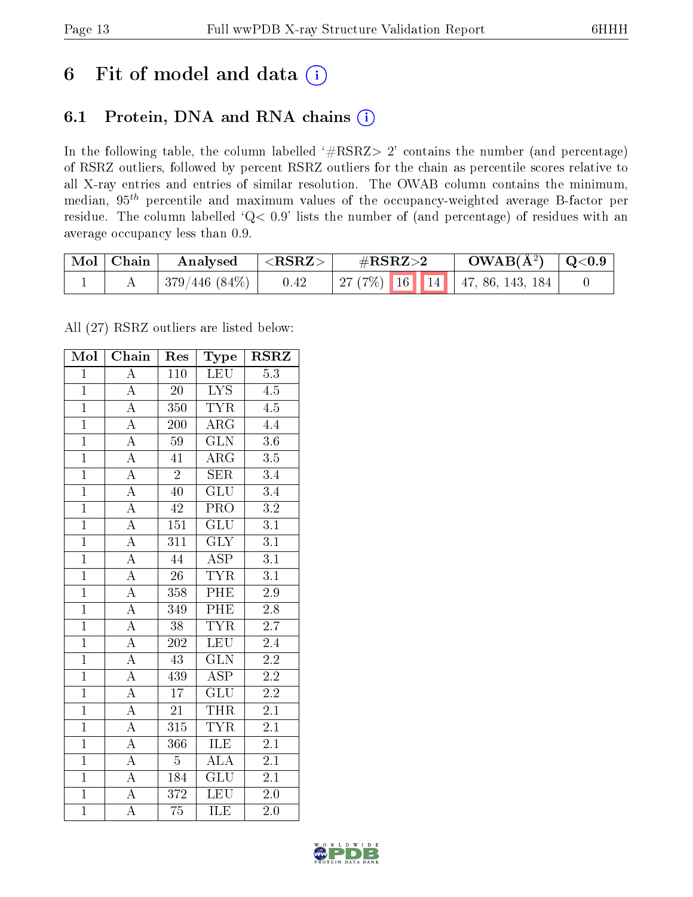## 6 Fit of model and data  $(i)$

### 6.1 Protein, DNA and RNA chains  $(i)$

In the following table, the column labelled  $#RSRZ> 2'$  contains the number (and percentage) of RSRZ outliers, followed by percent RSRZ outliers for the chain as percentile scores relative to all X-ray entries and entries of similar resolution. The OWAB column contains the minimum, median,  $95<sup>th</sup>$  percentile and maximum values of the occupancy-weighted average B-factor per residue. The column labelled ' $Q< 0.9$ ' lists the number of (and percentage) of residues with an average occupancy less than 0.9.

| $\mid$ Mol $\mid$ Chain | Analysed     | $<$ RSRZ $>$ | $\#\text{RSRZ}\text{>2}$ |  | $OWAB(A^2)$ $ $ Q<0.9                |  |
|-------------------------|--------------|--------------|--------------------------|--|--------------------------------------|--|
|                         | 379/446(84%) | 0.42         |                          |  | 27 (7%)   16   14   47, 86, 143, 184 |  |

All (27) RSRZ outliers are listed below:

| Mol            | Chain              | Res              | Type                    | $\text{RSR}{}$   |
|----------------|--------------------|------------------|-------------------------|------------------|
| $\overline{1}$ | $\overline{A}$     | 110              | <b>LEU</b>              | $\overline{5.3}$ |
| $\overline{1}$ | $\overline{\rm A}$ | $20^{-}$         | $\overline{\text{LYS}}$ | $\overline{4.5}$ |
| $\overline{1}$ | $\overline{A}$     | 350              | <b>TYR</b>              | $\overline{4.5}$ |
| $\overline{1}$ | $\overline{A}$     | 200              | $AR\overline{G}$        | 4.4              |
| $\overline{1}$ | $\overline{A}$     | $\overline{59}$  | $\overline{\text{GLN}}$ | $\overline{3.6}$ |
| $\overline{1}$ | $\overline{A}$     | 41               | $\rm{ARG}$              | $\overline{3.5}$ |
| $\overline{1}$ | $\overline{A}$     | $\overline{2}$   | <b>SER</b>              | 3.4              |
| $\overline{1}$ | $\overline{A}$     | 40               | GLU                     | 3.4              |
| $\overline{1}$ | $\overline{\rm A}$ | 42               | $\overline{\text{PRO}}$ | $\overline{3.2}$ |
| $\overline{1}$ | $\overline{A}$     | $\overline{151}$ | $\overline{\text{GLU}}$ | $\overline{3.1}$ |
| $\overline{1}$ | $\overline{\rm A}$ | $\overline{311}$ | $\overline{\text{GLY}}$ | $\overline{3.1}$ |
| $\overline{1}$ | $\overline{\rm A}$ | $\overline{44}$  | $\overline{\text{ASP}}$ | $\overline{3.1}$ |
| $\overline{1}$ | $\overline{A}$     | $\overline{26}$  | <b>TYR</b>              | $\overline{3.1}$ |
| $\overline{1}$ | $\overline{\rm A}$ | 358              | $\overline{\rm{PHE}}$   | 2.9              |
| $\overline{1}$ | $\overline{A}$     | 349              | PHE                     | $\overline{2.8}$ |
| $\overline{1}$ | $\overline{A}$     | $\overline{38}$  | <b>TYR</b>              | $\overline{2.7}$ |
| $\overline{1}$ | $\overline{A}$     | $20\overline{2}$ | <b>LEU</b>              | $\overline{2.4}$ |
| $\overline{1}$ | $\overline{A}$     | $\overline{43}$  | $\overline{\text{GLN}}$ | $\overline{2.2}$ |
| $\overline{1}$ | $\overline{\rm A}$ | 439              | $\overline{\text{ASP}}$ | $\overline{2.2}$ |
| $\overline{1}$ | $\overline{\rm A}$ | $\overline{17}$  | GLU                     | $\overline{2.2}$ |
| $\overline{1}$ | $\overline{A}$     | $\overline{21}$  | <b>THR</b>              | $\overline{2.1}$ |
| $\overline{1}$ | $\overline{A}$     | $\overline{315}$ | <b>TYR</b>              | $\overline{2.1}$ |
| $\overline{1}$ | $\overline{\rm A}$ | 366              | ILE                     | $\overline{2.1}$ |
| $\overline{1}$ | $\overline{\rm A}$ | 5                | $\overline{\rm ALA}$    | $\overline{2.1}$ |
| $\overline{1}$ | $\overline{A}$     | 184              | $\overline{\text{GLU}}$ | $2.\overline{1}$ |
| $\overline{1}$ | $\overline{\rm A}$ | 372              | $\overline{\text{LEU}}$ | 2.0              |
| $\overline{1}$ | $\overline{\rm A}$ | $\overline{75}$  | ILE                     | 2.0              |

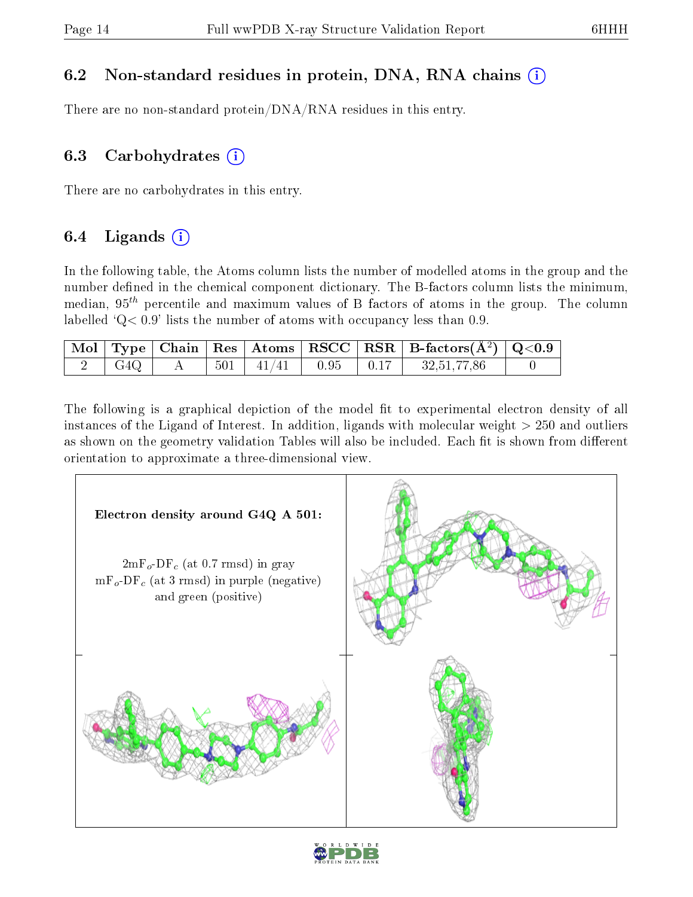### 6.2 Non-standard residues in protein, DNA, RNA chains (i)

There are no non-standard protein/DNA/RNA residues in this entry.

### 6.3 Carbohydrates  $(i)$

There are no carbohydrates in this entry.

### 6.4 Ligands  $(i)$

In the following table, the Atoms column lists the number of modelled atoms in the group and the number defined in the chemical component dictionary. The B-factors column lists the minimum, median,  $95<sup>th</sup>$  percentile and maximum values of B factors of atoms in the group. The column labelled  $Q < 0.9$ ' lists the number of atoms with occupancy less than 0.9.

|       |  |  | $\boxed{\text{ Mol}}$ Type   Chain   Res   Atoms $\boxed{\text{RSCC}}$   RSR   B-factors( $\AA^2$ )   Q<0.9 |  |
|-------|--|--|-------------------------------------------------------------------------------------------------------------|--|
| ' G4Q |  |  | $A = \begin{bmatrix} 501 & 41/41 & 0.95 & 0.17 & 32,51,77,86 \end{bmatrix}$                                 |  |

The following is a graphical depiction of the model fit to experimental electron density of all instances of the Ligand of Interest. In addition, ligands with molecular weight  $> 250$  and outliers as shown on the geometry validation Tables will also be included. Each fit is shown from different orientation to approximate a three-dimensional view.